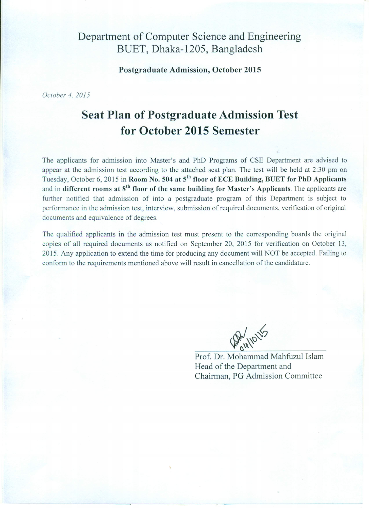# Department of Computer Science and Engineering BUET, Dhaka-1205, Bangladesh

**Postgraduate Admission, October 2015** 

October 4, 2015

# **Seat Plan of Postgraduate Admission Test** for October 2015 Semester

The applicants for admission into Master's and PhD Programs of CSE Department are advised to appear at the admission test according to the attached seat plan. The test will be held at 2:30 pm on Tuesday, October 6, 2015 in Room No. 504 at 5<sup>th</sup> floor of ECE Building, BUET for PhD Applicants and in different rooms at  $8<sup>th</sup>$  floor of the same building for Master's Applicants. The applicants are further notified that admission of into a postgraduate program of this Department is subject to performance in the admission test, interview, submission of required documents, verification of original documents and equivalence of degrees.

The qualified applicants in the admission test must present to the corresponding boards the original copies of all required documents as notified on September 20, 2015 for verification on October 13, 2015. Any application to extend the time for producing any document will NOT be accepted. Failing to conform to the requirements mentioned above will result in cancellation of the candidature.

AP HIONS

Prof. Dr. Mohammad Mahfuzul Islam Head of the Department and Chairman, PG Admission Committee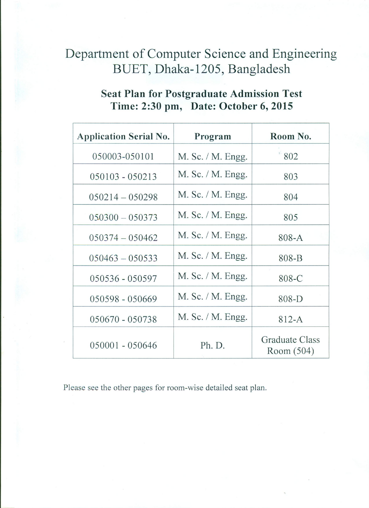# Department of Computer Science and Engineering BUET, Dhaka-1205, Bangladesh

# **Seat Plan for Postgraduate Admission Test** Time: 2:30 pm, Date: October 6, 2015

| <b>Application Serial No.</b> | Program              | Room No.                     |
|-------------------------------|----------------------|------------------------------|
| 050003-050101                 | M. Sc. / M. Engg.    | 802                          |
| $050103 - 050213$             | $M.$ Sc. $/M.$ Engg. | 803                          |
| $050214 - 050298$             | $M.$ Sc. $/M.$ Engg. | 804                          |
| $050300 - 050373$             | M. Sc. / M. Engg.    | 805                          |
| $050374 - 050462$             | M. Sc. / M. Engg.    | $808-A$                      |
| $050463 - 050533$             | M. Sc. / M. Engg.    | 808-B                        |
| 050536 - 050597               | M. Sc. / M. Engg.    | 808-C                        |
| 050598 - 050669               | M. Sc. / M. Engg.    | $808-D$                      |
| 050670 - 050738               | M. Sc. / M. Engg.    | $812-A$                      |
| 050001 - 050646               | Ph. D.               | Graduate Class<br>Room (504) |

Please see the other pages for room-wise detailed seat plan.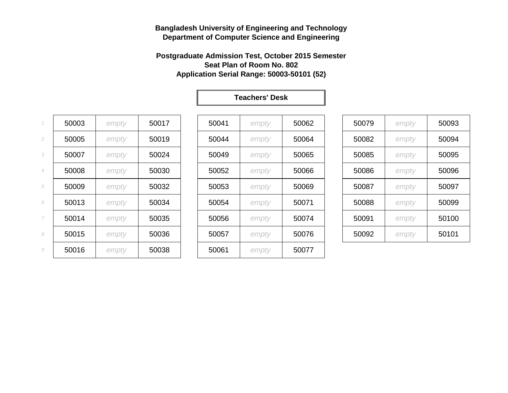#### **Postgraduate Admission Test, October 2015 Semester Seat Plan of Room No. 802 Application Serial Range: 50003-50101 (52)**

| $\mathcal I$   | 50003 | empty | 50017 | 50041 | empty | 50062 | 50079 | empty | 50093 |
|----------------|-------|-------|-------|-------|-------|-------|-------|-------|-------|
| $\overline{2}$ | 50005 | empty | 50019 | 50044 | empty | 50064 | 50082 | empty | 50094 |
| 3              | 50007 | empty | 50024 | 50049 | empty | 50065 | 50085 | empty | 50095 |
| $\overline{4}$ | 50008 | empty | 50030 | 50052 | empty | 50066 | 50086 | empty | 50096 |
| 5              | 50009 | empty | 50032 | 50053 | empty | 50069 | 50087 | empty | 50097 |
| 6              | 50013 | empty | 50034 | 50054 | empty | 50071 | 50088 | empty | 50099 |
| 7              | 50014 | empty | 50035 | 50056 | empty | 50074 | 50091 | empty | 50100 |
| 8              | 50015 | empty | 50036 | 50057 | empty | 50076 | 50092 | empty | 50101 |
| 9              | 50016 | empty | 50038 | 50061 | empty | 50077 |       |       |       |
|                |       |       |       |       |       |       |       |       |       |

| 50041 | empty | 50062 |
|-------|-------|-------|
| 50044 | empty | 50064 |
| 50049 | empty | 50065 |
| 50052 | empty | 50066 |
| 50053 | empty | 50069 |
| 50054 | empty | 50071 |
| 50056 | empty | 50074 |
| 50057 | empty | 50076 |
| 50061 | empty | 50077 |

| 50079 | empty | 50093 |
|-------|-------|-------|
| 50082 | empty | 50094 |
| 50085 | empty | 50095 |
| 50086 | empty | 50096 |
| 50087 | empty | 50097 |
| 50088 | empty | 50099 |
| 50091 | empty | 50100 |
| 50092 | empty | 50101 |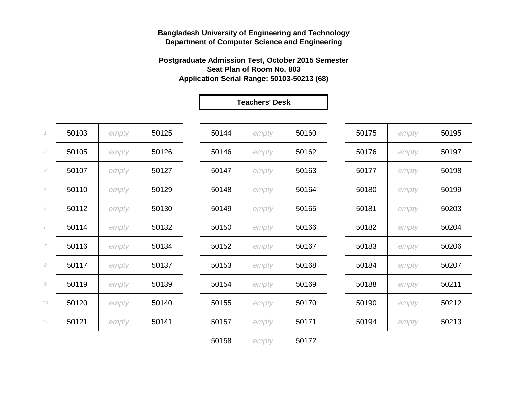**Postgraduate Admission Test, October 2015 Semester Seat Plan of Room No. 803 Application Serial Range: 50103-50213 (68)**

**Teachers' Desk**

*empty* 50172

| $\mathcal I$   | 50103 | empty | 50125 | 50144 | empty | 50160 | 50175 | empty | 50195 |
|----------------|-------|-------|-------|-------|-------|-------|-------|-------|-------|
| $\overline{2}$ | 50105 | empty | 50126 | 50146 | empty | 50162 | 50176 | empty | 50197 |
| 3              | 50107 | empty | 50127 | 50147 | empty | 50163 | 50177 | empty | 50198 |
| 4              | 50110 | empty | 50129 | 50148 | empty | 50164 | 50180 | empty | 50199 |
| 5              | 50112 | empty | 50130 | 50149 | empty | 50165 | 50181 | empty | 50203 |
| 6              | 50114 | empty | 50132 | 50150 | empty | 50166 | 50182 | empty | 50204 |
| 7              | 50116 | empty | 50134 | 50152 | empty | 50167 | 50183 | empty | 50206 |
| 8              | 50117 | empty | 50137 | 50153 | empty | 50168 | 50184 | empty | 50207 |
| 9              | 50119 | empty | 50139 | 50154 | empty | 50169 | 50188 | empty | 50211 |
| 10             | 50120 | empty | 50140 | 50155 | empty | 50170 | 50190 | empty | 50212 |
| 11             | 50121 | empty | 50141 | 50157 | empty | 50171 | 50194 | empty | 50213 |
|                |       |       |       |       |       |       |       |       |       |

| 50175 | empty | 50195 |
|-------|-------|-------|
| 50176 | empty | 50197 |
| 50177 | empty | 50198 |
| 50180 | empty | 50199 |
| 50181 | empty | 50203 |
| 50182 | empty | 50204 |
| 50183 | empty | 50206 |
| 50184 | empty | 50207 |
| 50188 | empty | 50211 |
| 50190 | empty | 50212 |
| 50194 | empty | 50213 |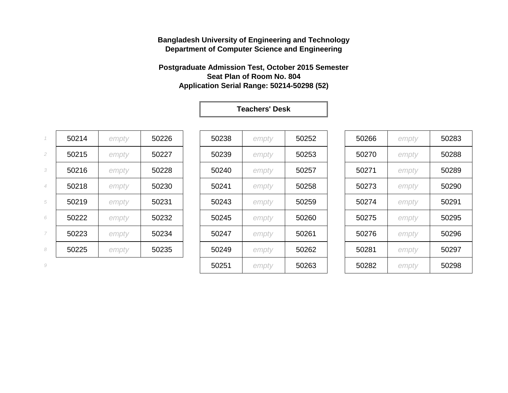#### **Postgraduate Admission Test, October 2015 Semester Seat Plan of Room No. 804 Application Serial Range: 50214-50298 (52)**

|                          | 50214 | empty | 50226 | 50238 | empty | 50252 | 50266 | empty | 50283 |
|--------------------------|-------|-------|-------|-------|-------|-------|-------|-------|-------|
| $\overline{2}$           | 50215 | empty | 50227 | 50239 | empty | 50253 | 50270 | empty | 50288 |
| 3                        | 50216 | empty | 50228 | 50240 | empty | 50257 | 50271 | empty | 50289 |
| $\overline{4}$           | 50218 | empty | 50230 | 50241 | empty | 50258 | 50273 | empty | 50290 |
| 5                        | 50219 | empty | 50231 | 50243 | empty | 50259 | 50274 | empty | 50291 |
| 6                        | 50222 | empty | 50232 | 50245 | empty | 50260 | 50275 | empty | 50295 |
| $\overline{\phantom{a}}$ | 50223 | empty | 50234 | 50247 | empty | 50261 | 50276 | empty | 50296 |
| 8                        | 50225 | empty | 50235 | 50249 | empty | 50262 | 50281 | empty | 50297 |
|                          |       |       |       |       |       |       |       |       |       |

| $\mathcal I$ | 50214 | empty | 50226 | 50238 | empty | 50252 | 50266 | empty | 50283 |
|--------------|-------|-------|-------|-------|-------|-------|-------|-------|-------|
| 2            | 50215 | empty | 50227 | 50239 | empty | 50253 | 50270 | empty | 50288 |
| 3            | 50216 | empty | 50228 | 50240 | empty | 50257 | 50271 | empty | 50289 |
| 4            | 50218 | empty | 50230 | 50241 | empty | 50258 | 50273 | empty | 50290 |
| 5            | 50219 | empty | 50231 | 50243 | empty | 50259 | 50274 | empty | 50291 |
| 6            | 50222 | empty | 50232 | 50245 | empty | 50260 | 50275 | empty | 50295 |
| 7            | 50223 | empty | 50234 | 50247 | empty | 50261 | 50276 | empty | 50296 |
| 8            | 50225 | empty | 50235 | 50249 | empty | 50262 | 50281 | empty | 50297 |
| 9            |       |       |       | 50251 | empty | 50263 | 50282 | empty | 50298 |
|              |       |       |       |       |       |       |       |       |       |

| 50266 | empty | 50283 |
|-------|-------|-------|
| 50270 | empty | 50288 |
| 50271 | empty | 50289 |
| 50273 | empty | 50290 |
| 50274 | empty | 50291 |
| 50275 | empty | 50295 |
| 50276 | empty | 50296 |
| 50281 | empty | 50297 |
| 50282 | empty | 50298 |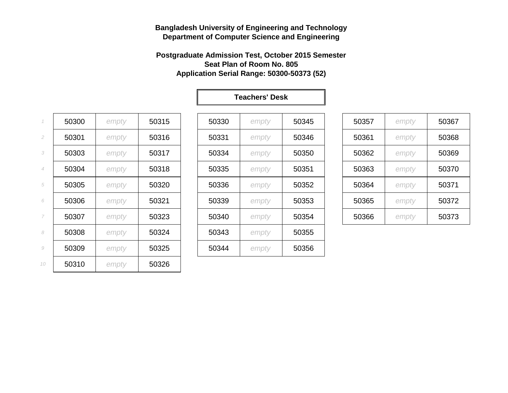#### **Postgraduate Admission Test, October 2015 Semester Seat Plan of Room No. 805 Application Serial Range: 50300-50373 (52)**

| $\mathcal I$   | 50300 | empty | 50315 | 50330 | empty | 50345 | 50357 | empty | 50367 |
|----------------|-------|-------|-------|-------|-------|-------|-------|-------|-------|
| 2              | 50301 | empty | 50316 | 50331 | empty | 50346 | 50361 | empty | 50368 |
| 3              | 50303 | empty | 50317 | 50334 | empty | 50350 | 50362 | empty | 50369 |
| $\overline{4}$ | 50304 | empty | 50318 | 50335 | empty | 50351 | 50363 | empty | 50370 |
| 5              | 50305 | empty | 50320 | 50336 | empty | 50352 | 50364 | empty | 50371 |
| 6              | 50306 | empty | 50321 | 50339 | empty | 50353 | 50365 | empty | 50372 |
| $\overline{7}$ | 50307 | empty | 50323 | 50340 | empty | 50354 | 50366 | empty | 50373 |
| 8              | 50308 | empty | 50324 | 50343 | empty | 50355 |       |       |       |
| 9              | 50309 | empty | 50325 | 50344 | empty | 50356 |       |       |       |
| 10             | 50310 | empty | 50326 |       |       |       |       |       |       |
|                |       |       |       |       |       |       |       |       |       |

| 50330 | empty | 50345 |
|-------|-------|-------|
| 50331 | empty | 50346 |
| 50334 | empty | 50350 |
| 50335 | empty | 50351 |
| 50336 | empty | 50352 |
| 50339 | empty | 50353 |
| 50340 | empty | 50354 |
| 50343 | empty | 50355 |
| 50344 | empty | 50356 |

| 50357 | empty | 50367 |
|-------|-------|-------|
| 50361 | empty | 50368 |
| 50362 | empty | 50369 |
| 50363 | empty | 50370 |
| 50364 | empty | 50371 |
| 50365 | empty | 50372 |
| 50366 | empty | 50373 |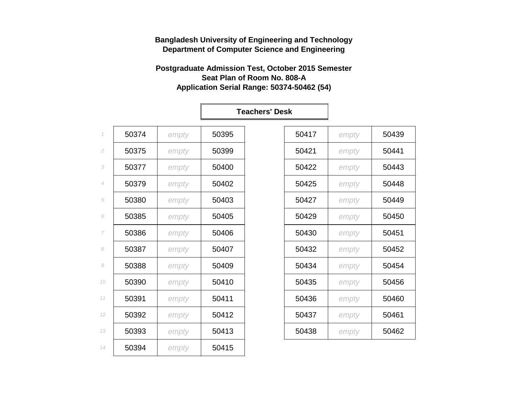#### **Postgraduate Admission Test, October 2015 Semester Seat Plan of Room No. 808-A Application Serial Range: 50374-50462 (54)**

|                |       |       |       | <b>Teachers' Desk</b> |       |       |       |
|----------------|-------|-------|-------|-----------------------|-------|-------|-------|
| $\mathcal I$   | 50374 | empty | 50395 |                       | 50417 | empty | 50439 |
| $\mathfrak{2}$ | 50375 | empty | 50399 |                       | 50421 | empty | 50441 |
| 3              | 50377 | empty | 50400 |                       | 50422 | empty | 50443 |
| $\overline{4}$ | 50379 | empty | 50402 |                       | 50425 | empty | 50448 |
| 5              | 50380 | empty | 50403 |                       | 50427 | empty | 50449 |
| 6              | 50385 | empty | 50405 |                       | 50429 | empty | 50450 |
| 7              | 50386 | empty | 50406 |                       | 50430 | empty | 50451 |
| 8              | 50387 | empty | 50407 |                       | 50432 | empty | 50452 |
| $\mathcal G$   | 50388 | empty | 50409 |                       | 50434 | empty | 50454 |
| 10             | 50390 | empty | 50410 |                       | 50435 | empty | 50456 |
| 11             | 50391 | empty | 50411 |                       | 50436 | empty | 50460 |
| 12             | 50392 | empty | 50412 |                       | 50437 | empty | 50461 |
| 13             | 50393 | empty | 50413 |                       | 50438 | empty | 50462 |
| 14             | 50394 | empty | 50415 |                       |       |       |       |
|                |       |       |       |                       |       |       |       |

| 50417 | empty | 50439 |
|-------|-------|-------|
| 50421 | empty | 50441 |
| 50422 | empty | 50443 |
| 50425 | empty | 50448 |
| 50427 | empty | 50449 |
| 50429 | empty | 50450 |
| 50430 | empty | 50451 |
| 50432 | empty | 50452 |
| 50434 | empty | 50454 |
| 50435 | empty | 50456 |
| 50436 | empty | 50460 |
| 50437 | empty | 50461 |
| 50438 | empty | 50462 |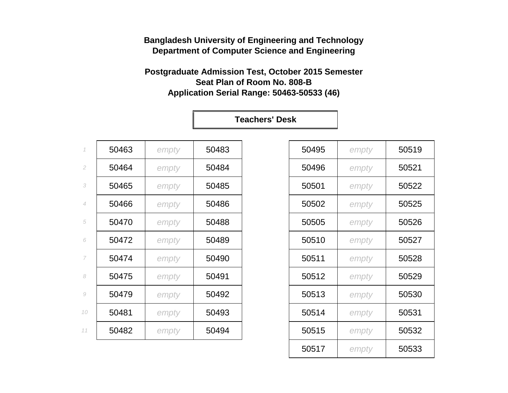**Postgraduate Admission Test, October 2015 Semester Seat Plan of Room No. 808-B Application Serial Range: 50463-50533 (46)**

| $\mathcal I$        | 50463 | empty | 50483 | 50495 | empty | 50519 |
|---------------------|-------|-------|-------|-------|-------|-------|
| $\mathfrak{2}$      | 50464 | empty | 50484 | 50496 | empty | 50521 |
| 3                   | 50465 | empty | 50485 | 50501 | empty | 50522 |
| $\overline{4}$      | 50466 | empty | 50486 | 50502 | empty | 50525 |
| 5                   | 50470 | empty | 50488 | 50505 | empty | 50526 |
| 6                   | 50472 | empty | 50489 | 50510 | empty | 50527 |
| $\overline{7}$      | 50474 | empty | 50490 | 50511 | empty | 50528 |
| 8                   | 50475 | empty | 50491 | 50512 | empty | 50529 |
| $\mathcal{G}% _{0}$ | 50479 | empty | 50492 | 50513 | empty | 50530 |
| 10                  | 50481 | empty | 50493 | 50514 | empty | 50531 |
| 11                  | 50482 | empty | 50494 | 50515 | empty | 50532 |
|                     |       |       |       |       |       |       |

| 50495 | empty | 50519 |
|-------|-------|-------|
| 50496 | empty | 50521 |
| 50501 | empty | 50522 |
| 50502 | empty | 50525 |
| 50505 | empty | 50526 |
| 50510 | empty | 50527 |
| 50511 | empty | 50528 |
| 50512 | empty | 50529 |
| 50513 | empty | 50530 |
| 50514 | empty | 50531 |
| 50515 | empty | 50532 |
| 50517 | empty | 50533 |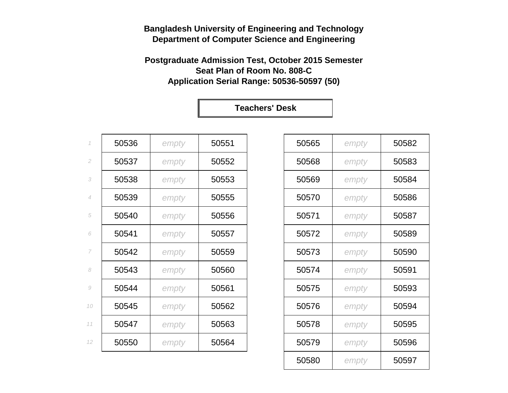## **Postgraduate Admission Test, October 2015 Semester Seat Plan of Room No. 808-C Application Serial Range: 50536-50597 (50)**

| $\mathcal I$             | 50536 | empty | 50551 | 50565 | empty | 50582 |
|--------------------------|-------|-------|-------|-------|-------|-------|
| $\sqrt{2}$               | 50537 | empty | 50552 | 50568 | empty | 50583 |
| 3                        | 50538 | empty | 50553 | 50569 | empty | 50584 |
| $\overline{4}$           | 50539 | empty | 50555 | 50570 | empty | 50586 |
| 5                        | 50540 | empty | 50556 | 50571 | empty | 50587 |
| 6                        | 50541 | empty | 50557 | 50572 | empty | 50589 |
| $\overline{\phantom{a}}$ | 50542 | empty | 50559 | 50573 | empty | 50590 |
| 8                        | 50543 | empty | 50560 | 50574 | empty | 50591 |
| $\mathcal G$             | 50544 | empty | 50561 | 50575 | empty | 50593 |
| 10                       | 50545 | empty | 50562 | 50576 | empty | 50594 |
| 11                       | 50547 | empty | 50563 | 50578 | empty | 50595 |
| 12                       | 50550 | empty | 50564 | 50579 | empty | 50596 |

| 50565 | empty | 50582 |
|-------|-------|-------|
| 50568 | empty | 50583 |
| 50569 | empty | 50584 |
| 50570 | empty | 50586 |
| 50571 | empty | 50587 |
| 50572 | empty | 50589 |
| 50573 | empty | 50590 |
| 50574 | empty | 50591 |
| 50575 | empty | 50593 |
| 50576 | empty | 50594 |
| 50578 | empty | 50595 |
| 50579 | empty | 50596 |
| 50580 | empty | 50597 |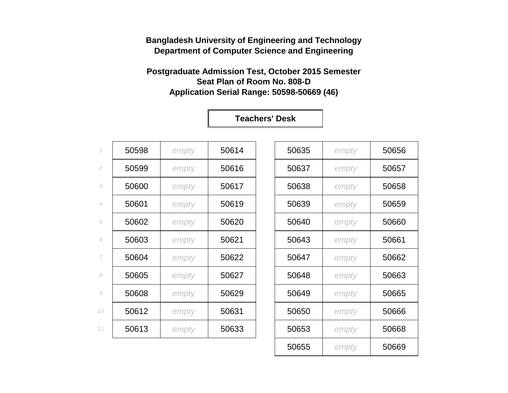#### **Postgraduate Admission Test, October 2015 Semester Seat Plan of Room No. 808-D Application Serial Range: 50598-50669 (46)**

| $\mathcal I$   | 50598 | empty | 50614 | 50635 | empty | 50656 |
|----------------|-------|-------|-------|-------|-------|-------|
| $\mathfrak{2}$ | 50599 | empty | 50616 | 50637 | empty | 50657 |
| 3              | 50600 | empty | 50617 | 50638 | empty | 50658 |
| $\overline{4}$ | 50601 | empty | 50619 | 50639 | empty | 50659 |
| 5              | 50602 | empty | 50620 | 50640 | empty | 50660 |
| 6              | 50603 | empty | 50621 | 50643 | empty | 50661 |
| 7              | 50604 | empty | 50622 | 50647 | empty | 50662 |
| 8              | 50605 | empty | 50627 | 50648 | empty | 50663 |
| 9              | 50608 | empty | 50629 | 50649 | empty | 50665 |
| 10             | 50612 | empty | 50631 | 50650 | empty | 50666 |
| 11             | 50613 | empty | 50633 | 50653 | empty | 50668 |
|                |       |       |       |       |       |       |

| 50635 | empty | 50656 |
|-------|-------|-------|
| 50637 | empty | 50657 |
| 50638 | empty | 50658 |
| 50639 | empty | 50659 |
| 50640 | empty | 50660 |
| 50643 | empty | 50661 |
| 50647 | empty | 50662 |
| 50648 | empty | 50663 |
| 50649 | empty | 50665 |
| 50650 | empty | 50666 |
| 50653 | empty | 50668 |
| 50655 | empty | 50669 |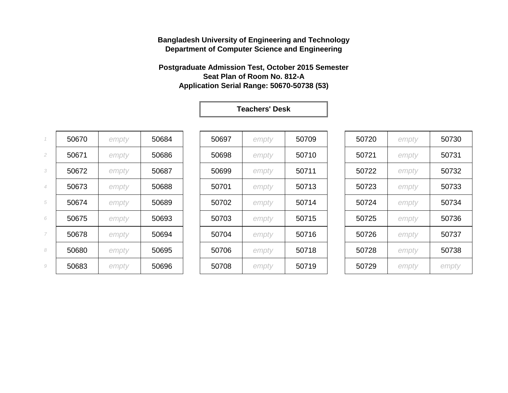#### **Postgraduate Admission Test, October 2015 Semester Seat Plan of Room No. 812-A Application Serial Range: 50670-50738 (53)**

|                | 50670 | empty | 50684 | 50697 | empty | 50709 | 50720 | empty | 50730 |
|----------------|-------|-------|-------|-------|-------|-------|-------|-------|-------|
| 2              | 50671 | empty | 50686 | 50698 | empty | 50710 | 50721 | empty | 50731 |
| 3              | 50672 | empty | 50687 | 50699 | empty | 50711 | 50722 | empty | 50732 |
| $\overline{4}$ | 50673 | empty | 50688 | 50701 | empty | 50713 | 50723 | empty | 50733 |
| 5              | 50674 | empty | 50689 | 50702 | empty | 50714 | 50724 | empty | 50734 |
| 6              | 50675 | empty | 50693 | 50703 | empty | 50715 | 50725 | empty | 50736 |
| 7              | 50678 | empty | 50694 | 50704 | empty | 50716 | 50726 | empty | 50737 |
| 8              | 50680 | empty | 50695 | 50706 | empty | 50718 | 50728 | empty | 50738 |
| 9              | 50683 | empty | 50696 | 50708 | empty | 50719 | 50729 | empty | empty |

| 50697 | empty | 50709 |
|-------|-------|-------|
| 50698 | empty | 50710 |
| 50699 | empty | 50711 |
| 50701 | empty | 50713 |
| 50702 | empty | 50714 |
| 50703 | empty | 50715 |
| 50704 | empty | 50716 |
| 50706 | empty | 50718 |
| 50708 | empty | 50719 |

| 50720 | empty | 50730 |
|-------|-------|-------|
| 50721 | empty | 50731 |
| 50722 | empty | 50732 |
| 50723 | empty | 50733 |
| 50724 | empty | 50734 |
| 50725 | empty | 50736 |
| 50726 | empty | 50737 |
| 50728 | empty | 50738 |
| 50729 | empty | empty |